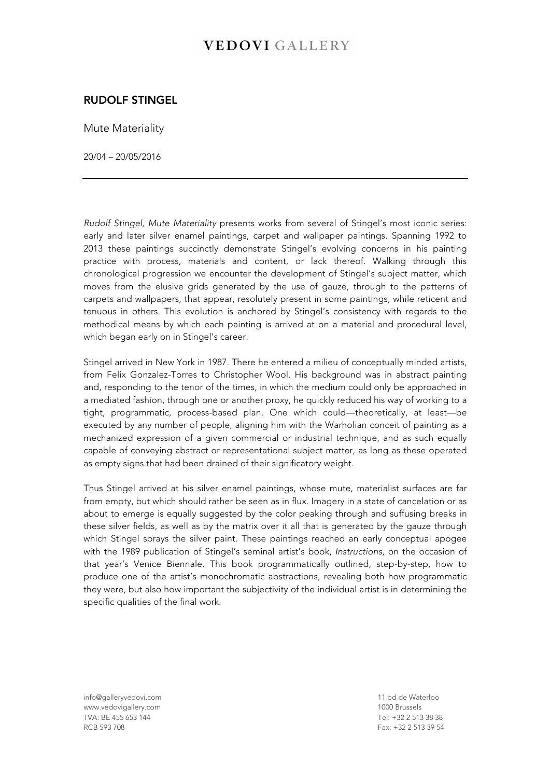## **VEDOVI GALLERY**

## RUDOLF STINGEL

Mute Materiality

20/04 – 20/05/2016

*Rudolf Stingel, Mute Materiality* presents works from several of Stingel's most iconic series: early and later silver enamel paintings, carpet and wallpaper paintings. Spanning 1992 to 2013 these paintings succinctly demonstrate Stingel's evolving concerns in his painting practice with process, materials and content, or lack thereof. Walking through this chronological progression we encounter the development of Stingel's subject matter, which moves from the elusive grids generated by the use of gauze, through to the patterns of carpets and wallpapers, that appear, resolutely present in some paintings, while reticent and tenuous in others. This evolution is anchored by Stingel's consistency with regards to the methodical means by which each painting is arrived at on a material and procedural level, which began early on in Stingel's career.

Stingel arrived in New York in 1987. There he entered a milieu of conceptually minded artists, from Felix Gonzalez-Torres to Christopher Wool. His background was in abstract painting and, responding to the tenor of the times, in which the medium could only be approached in a mediated fashion, through one or another proxy, he quickly reduced his way of working to a tight, programmatic, process-based plan. One which could—theoretically, at least—be executed by any number of people, aligning him with the Warholian conceit of painting as a mechanized expression of a given commercial or industrial technique, and as such equally capable of conveying abstract or representational subject matter, as long as these operated as empty signs that had been drained of their significatory weight.

Thus Stingel arrived at his silver enamel paintings, whose mute, materialist surfaces are far from empty, but which should rather be seen as in flux. Imagery in a state of cancelation or as about to emerge is equally suggested by the color peaking through and suffusing breaks in these silver fields, as well as by the matrix over it all that is generated by the gauze through which Stingel sprays the silver paint. These paintings reached an early conceptual apogee with the 1989 publication of Stingel's seminal artist's book, *Instructions*, on the occasion of that year's Venice Biennale. This book programmatically outlined, step-by-step, how to produce one of the artist's monochromatic abstractions, revealing both how programmatic they were, but also how important the subjectivity of the individual artist is in determining the specific qualities of the final work.

info@galleryvedovi.com 11 bd de Waterloo www.vedovigallery.com 1000 Brussels TVA: BE 455 653 144 RCB 593 708 Fax: +32 2 513 39 54